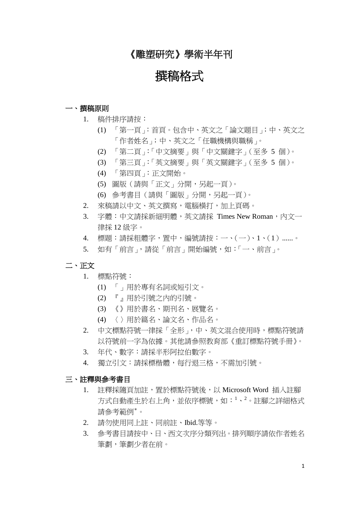## 《雕塑研究》學術半年刊

# 撰稿格式

### 一、 撰稿原則

- 1. 稿件排序請按:
	- (1) 「第一頁」:首頁。包含中、英文之「論文題目」;中、英文之 「作者姓名」;中、英文之「任職機構與職稱」。
	- (2) 「第二頁」:「中文摘要」與「中文關鍵字」(至多 5 個)。
	- (3) 「第三頁」:「英文摘要」與「英文關鍵字」(至多 5 個)。
	- (4) 「第四頁」:正文開始。
	- (5) 圖版(請與「正文」分開,另起一頁)。
	- (6) 參考書目(請與「圖版」分開,另起一頁)。
- 2. 來稿請以中文、英文撰寫,電腦橫打,加上頁碼。
- 3. 字體:中文請採新細明體,英文請採 Times New Roman,內文一 律採 12 級字。
- 4. 標題:請採粗體字,置中,編號請按:一、(一)、1、(1)......。
- 5. 如有「前言」,請從「前言」開始編號,如:「一、前言」。

#### 二、 正文

- 1. 標點符號:
	- (1) 「」用於專有名詞或短引文。
	- (2) 『』用於引號之內的引號。
	- (3) 《》用於書名、期刊名、展覽名。
	- (4) 〈〉用於篇名、論文名、作品名。
- 2. 中文標點符號一律採「全形」,中、英文混合使用時,標點符號請 以符號前一字為依據。其他請參照教育部《重訂標點符號手冊》。
- 3. 年代、數字:請採半形阿拉伯數字。
- 4. 獨立引文:請採標楷體,每行退三格,不需加引號。

### 三、註釋與參考書目

- 1. 註釋採隨頁加註,置於標點符號後,以 Microsoft Word 插入註腳 方式自動產生於右上角,並依序標號,如:<sup>1</sup>、<sup>2</sup>。註腳之詳細格式 請參考範例\* 。
- 2. 請勿使用同上註、同前註、Ibid.等等。
- 3. 參考書目請按中、日、西文次序分類列出。排列順序請依作者姓名 筆劃,筆劃少者在前。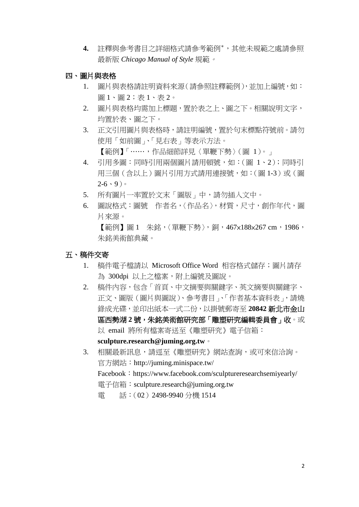- **4.** 註釋與參考書目之詳細格式請參考範例\* ,其他未規範之處請參照 最新版 *Chicago Manual of Style* 規範。
- 四、 圖片與表格
	- 1. 圖片與表格請註明資料來源(請參照註釋範例),並加上編號,如: 圖 1、圖 2;表 1、表 2。
	- 2. 圖片與表格均需加上標題,置於表之上、圖之下。相關說明文字, 均置於表、圖之下。
	- 3. 正文引用圖片與表格時,請註明編號,置於句末標點符號前。請勿 使用「如前圖」、「見右表」等表示方法。 【範例】「……,作品細節詳見〈單鞭下勢〉(圖 1)。」
	- 4. 引用多圖:同時引用兩個圖片請用頓號,如:(圖 1、2);同時引 用三個(含以上)圖片引用方式請用連接號,如:(圖 1-3)或(圖  $2-6 \cdot 9$
	- 5. 所有圖片一率置於文末「圖版」中,請勿插入文中。
	- 6. 圖說格式:圖號 作者名,〈作品名〉,材質,尺寸,創作年代,圖 片來源。

【範例】圖 1 朱銘,〈單鞭下勢〉, 銅, 467×188×267 cm, 1986, 朱銘美術館典藏。

### 五、 稿件交寄

- 1. 稿件電子檔請以 Microsoft Office Word 相容格式儲存;圖片請存 為 300dpi 以上之檔案,附上編號及圖說。
- 2. 稿件內容,句含「首頁、中文摘要與關鍵字、英文摘要與關鍵字、 正文、圖版(圖片與圖說)、參考書目」、「作者基本資料表」,請燒 錄成光碟,並印出紙本一式二份,以掛號郵寄至 **20842** 新北市金山 區西勢湖 **2** 號,朱銘美術館研究部「雕塑研究編輯委員會」收。或 以 email 將所有檔案寄送至《雕塑研究》電子信箱: **sculpture.research@juming.org.tw**。
- 3. 相關最新訊息,請逕至《雕塑研究》網站查詢,或可來信洽詢。 官方網站:http://juming.minispace.tw/ Facebook: https://www.facebook.com/sculptureresearchsemiyearly/ 電子信箱:sculpture.research@juming.org.tw 電 話:(02)2498-9940 分機 1514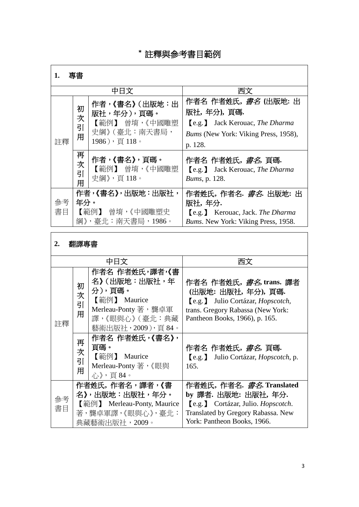### \* 註釋與參考書目範例

| . ا<br>и. | ╼<br>Ħ<br>-<br>__<br>⊐ |
|-----------|------------------------|
|           |                        |

|          |                                                                  | 中日文                                                                          | 西文                                                                                                                                                   |
|----------|------------------------------------------------------------------|------------------------------------------------------------------------------|------------------------------------------------------------------------------------------------------------------------------------------------------|
| 註釋       | 初<br>次<br>引<br>用                                                 | 作者,《書名》 (出版地:出<br>版社,年分),頁碼。<br>【範例】 曾堉,《中國雕塑<br>史綱》(臺北:南天書局,<br>1986),頁118。 | 作者名 作者姓氏, <i>書名</i> (出版地: 出<br>版社,年分),頁碼.<br><b>[e.g.]</b> Jack Kerouac, <i>The Dharma</i><br><i>Bums</i> (New York: Viking Press, 1958),<br>p. 128. |
|          | 再<br>次<br>引<br>用                                                 | 作者,《書名》,頁碼。<br>【範例】 曾堉,《中國雕塑<br>史綱》,頁118。                                    | 作者名 作者姓氏, <i>書名</i> , 頁碼.<br><b>[e.g.]</b> Jack Kerouac, <i>The Dharma</i><br><i>Bums</i> , p. 128.                                                  |
| 參考<br>書目 | 作者,《書名》,出版地:出版社,<br>年分。<br>【範例】<br>曾堉,《中國雕塑史<br>綱》,臺北:南天書局,1986。 |                                                                              | 作者姓氏, 作者名. <i>書名</i> . 出版地: 出<br>版社,年分.<br>[e.g.] Kerouac, Jack. The Dharma<br><i>Bums.</i> New York: Viking Press, 1958.                            |

# **2.** 翻譯專書

| 中日文      |                                                                                                         |                                                                                                                          | 西文                                                                                                                                                                         |
|----------|---------------------------------------------------------------------------------------------------------|--------------------------------------------------------------------------------------------------------------------------|----------------------------------------------------------------------------------------------------------------------------------------------------------------------------|
| 註釋       | 初<br>次<br>引<br>用                                                                                        | 作者名 作者姓氏,譯者,《書<br>名》(出版地:出版社,年<br>分),頁碼。<br>【範例】 Maurice<br>Merleau-Ponty 著,龔卓軍<br>譯,《眼與心》 (臺北:典藏<br>藝術出版社, 2009), 頁 84。 | 作者名 作者姓氏, <i>書名</i> , trans. 譯者<br>(出版地: 出版社, 年分), 頁碼.<br>[e.g.] Julio Cortázar, <i>Hopscotch</i> ,<br>trans. Gregory Rabassa (New York:<br>Pantheon Books, 1966), p. 165. |
|          | 再<br>次<br>引<br>用                                                                                        | 作者名 作者姓氏,《書名》,<br>頁碼。<br>【範例】 Maurice<br>Merleau-Ponty 著,《眼與<br>心》,頁84。                                                  | 作者名 作者姓氏, <i>書名</i> ,頁碼.<br>[e.g.] Julio Cortázar, <i>Hopscotch</i> , p.<br>165.                                                                                           |
| 參考<br>書目 | 作者姓氏,作者名,譯者,《書<br>名》,出版地:出版社,年分。<br>【範例】 Merleau-Ponty, Maurice<br>著, 龔卓軍譯, 《眼與心》, 臺北:<br>典藏藝術出版社,2009。 |                                                                                                                          | 作者姓氏,作者名. <i>書名</i> .Translated<br>by 譯者. 出版地: 出版社, 年分.<br>[e.g.] Cortázar, Julio. Hopscotch.<br>Translated by Gregory Rabassa. New<br>York: Pantheon Books, 1966.         |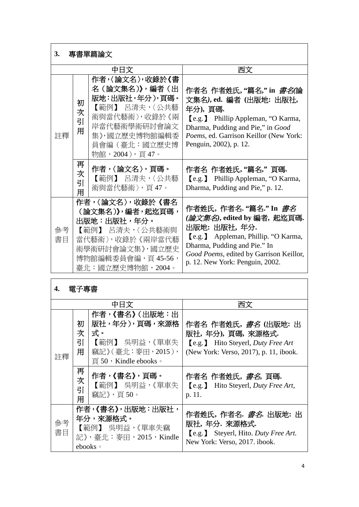| 專書單篇論文<br>3. |                                                                                                                                                        |                                                                                                                                                       |                                                                                                                                                                                                                                     |
|--------------|--------------------------------------------------------------------------------------------------------------------------------------------------------|-------------------------------------------------------------------------------------------------------------------------------------------------------|-------------------------------------------------------------------------------------------------------------------------------------------------------------------------------------------------------------------------------------|
|              |                                                                                                                                                        | 中日文                                                                                                                                                   | 西文                                                                                                                                                                                                                                  |
| 註釋           | 初<br>次<br>引<br>用                                                                                                                                       | 作者,〈論文名〉,收錄於《書<br>名(論文集名)》,編者(出<br>版地:出版社,年分),頁碼。<br>【範例】 呂清夫,〈公共藝<br>術與當代藝術〉,收錄於《兩<br>岸當代藝術學術研討會論文<br>集》,國立歷史博物館編輯委<br>員會編(臺北:國立歷史博<br>物館,2004),頁47。 | 作者名 作者姓氏,"篇名,"in <i>書名</i> (論<br>文集名), ed. 編者 (出版地: 出版社,<br>年分),頁碼.<br>[e.g.] Phillip Appleman, "O Karma,<br>Dharma, Pudding and Pie," in Good<br>Poems, ed. Garrison Keillor (New York:<br>Penguin, 2002), p. 12.                  |
|              | 再<br>次<br>引<br>用                                                                                                                                       | 作者,〈論文名〉,頁碼。<br>【範例】 呂清夫,〈公共藝<br>術與當代藝術〉,頁 47。                                                                                                        | 作者名 作者姓氏,"篇名," 頁碼.<br><b>[e.g.]</b> Phillip Appleman, "O Karma,<br>Dharma, Pudding and Pie," p. 12.                                                                                                                                 |
| 參考<br>書目     | 作者,〈論文名〉,收錄於《書名<br>(論文集名)》,編者,起迄頁碼,<br>出版地:出版社,年分。<br>【範例】 呂清夫,〈公共藝術與<br>當代藝術〉,收錄於 《兩岸當代藝<br>術學術研討會論文集》,國立歷史<br>博物館編輯委員會編,頁 45-56,<br>臺北:國立歷史博物館,2004。 |                                                                                                                                                       | 作者姓氏,作者名."篇名."In <i>書名</i><br><i>(論文集名)</i> ,edited by 編者,起迄頁碼.<br>出版地:出版社,年分.<br>[e.g.] Appleman, Phillip. "O Karma,<br>Dharma, Pudding and Pie." In<br>Good Poems, edited by Garrison Keillor,<br>p. 12. New York: Penguin, 2002. |

| 4. | 電子專書 |
|----|------|
|    |      |

| 中日文      |                                                                                    |                                                                                                                                | 西立                                                                                                                                           |
|----------|------------------------------------------------------------------------------------|--------------------------------------------------------------------------------------------------------------------------------|----------------------------------------------------------------------------------------------------------------------------------------------|
| 註釋       | 初<br>次<br>引<br>用                                                                   | 作者,《書名》 (出版地:出<br>版社,年分),頁碼,來源格<br>式。<br>【範例】 吳明益,《單車失<br>竊記》(臺北:麥田, 2015),<br>$\overline{g}$ 50 $\cdot$ Kindle ebooks $\circ$ | 作者名 作者姓氏, <i>書名</i> (出版地: 出<br>版社,年分),頁碼,來源格式.<br><b>[e.g.]</b> Hito Steyerl, <i>Duty Free Art</i><br>(New York: Verso, 2017), p. 11, ibook. |
|          | 再<br>次<br>引<br>用                                                                   | 作者,《書名》,頁碼。<br>【範例】 吳明益,《單車失<br>竊記》,頁 50。                                                                                      | 作者名 作者姓氏, <i>書名</i> ,頁碼.<br><b>[e.g.]</b> Hito Steyerl, <i>Duty Free Art</i> ,<br>p. 11.                                                     |
| 參考<br>書目 | 作者,《書名》,出版地:出版社,<br>年分,來源格式。<br>【範例】 吳明益,《單車失竊<br>記》,臺北:麥田,2015,Kindle<br>ebooks • |                                                                                                                                | 作者姓氏,作者名. <i>書名</i> . 出版地: 出<br>版社,年分. 來源格式.<br><b>[e.g.]</b> Steyerl, Hito. Duty Free Art.<br>New York: Verso, 2017. ibook.                 |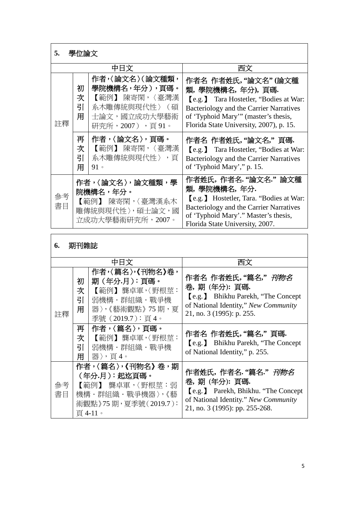| 學位論文<br>5. |                                                                                       |                                                                                                       |                                                                                                                                                                                                               |
|------------|---------------------------------------------------------------------------------------|-------------------------------------------------------------------------------------------------------|---------------------------------------------------------------------------------------------------------------------------------------------------------------------------------------------------------------|
|            |                                                                                       | 中日文                                                                                                   | 西文                                                                                                                                                                                                            |
| 註釋         | 初<br>次<br>引<br>用                                                                      | 作者,〈論文名〉(論文種類,<br>學院機構名,年分),頁碼。<br>【範例】 陳寄閑,〈臺灣漢<br>系木雕傳統與現代性〉 (碩<br>士論文,國立成功大學藝術<br>研究所,2007) ,頁 91。 | 作者名 作者姓氏,"論文名"(論文種<br>類,學院機構名,年分),頁碼.<br>[e.g.] Tara Hostetler, "Bodies at War:<br>Bacteriology and the Carrier Narratives<br>of 'Typhoid Mary'" (master's thesis,<br>Florida State University, 2007), p. 15. |
|            | 再<br>次<br>引<br>用                                                                      | 作者,〈論文名〉,頁碼。<br>【範例】 陳寄閑,〈臺灣漢<br>系木雕傳統與現代性〉,頁<br>$91 \circ$                                           | 作者名 作者姓氏,"論文名," 頁碼.<br>[e.g.] Tara Hostetler, "Bodies at War:<br>Bacteriology and the Carrier Narratives<br>of 'Typhoid Mary'," p. 15.                                                                        |
| 參考<br>書目   | 作者,〈論文名〉,論文種類,學<br>院機構名,年分。<br>【範例】 陳寄閑,〈臺灣漢系木<br>雕傳統與現代性〉,碩士論文,國<br>立成功大學藝術研究所,2007。 |                                                                                                       | 作者姓氏,作者名."論文名." 論文種<br>類,學院機構名,年分.<br>[e.g.] Hostetler, Tara. "Bodies at War:<br>Bacteriology and the Carrier Narratives<br>of 'Typhoid Mary'." Master's thesis,<br>Florida State University, 2007.           |

**6.** 期刊雜誌

|          |                                                                                                             | 中日文                                                                                                    | 西文                                                                                                                                                                 |
|----------|-------------------------------------------------------------------------------------------------------------|--------------------------------------------------------------------------------------------------------|--------------------------------------------------------------------------------------------------------------------------------------------------------------------|
| 註釋       | 初<br>次<br>引<br>用                                                                                            | 作者,〈篇名〉,《刊物名》卷,<br>期 (年分.月):頁碼。<br>【範例】龔卓軍,〈野根萃:<br>弱機構・群組織・戰爭機<br>器〉,《藝術觀點》 75 期,夏<br>季號 (2019.7):頁4。 | 作者名 作者姓氏,"篇名," <i>刊物名</i><br>卷,期(年分):頁碼.<br><b>[e.g.]</b> Bhikhu Parekh, "The Concept<br>of National Identity," New Community<br>21, no. 3 (1995): p. 255.         |
|          | 再<br>次<br>引<br>用                                                                                            | 作者,〈篇名〉,頁碼。<br>【範例】龔卓軍,〈野根萃:<br>弱機構・群組織・戰爭機<br>器〉,頁4。                                                  | 作者名 作者姓氏, "篇名," 頁碼.<br>[e.g.] Bhikhu Parekh, "The Concept"<br>of National Identity," p. 255.                                                                       |
| 參考<br>書目 | 作者,〈篇名〉,《刊物名》卷,期<br>(年分.月):起迄頁碼。<br>【範例】 龔卓軍,〈野根莖:弱<br>機構・群組織・戰爭機器〉,《藝<br>術觀點》75 期,夏季號(2019.7 ):<br>頁 4-11。 |                                                                                                        | 作者姓氏,作者名."篇名." <i>刊物名</i><br>卷,期 (年分): 頁碼.<br><b>[e.g.]</b> Parekh, Bhikhu. "The Concept<br>of National Identity." New Community<br>21, no. 3 (1995): pp. 255-268. |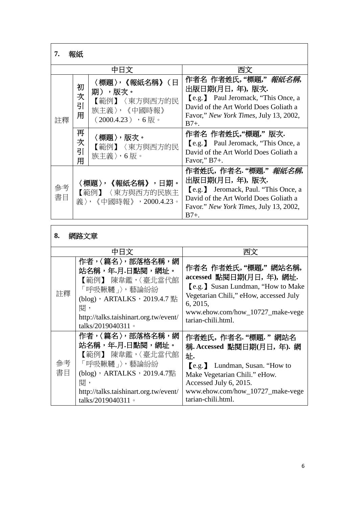| 7.<br>致欲地 |                                                           |                                                                                |                                                                                                                                                                                             |
|-----------|-----------------------------------------------------------|--------------------------------------------------------------------------------|---------------------------------------------------------------------------------------------------------------------------------------------------------------------------------------------|
|           |                                                           | 中日文                                                                            | 西文                                                                                                                                                                                          |
| 註釋        | 初<br>次<br>引<br>用                                          | 〈標題〉,《報紙名稱》(日<br>期),版次。<br>【範例】〈東方與西方的民<br>族主義〉,《中國時報》<br>$(2000.4.23)$ , 6版 。 | 作者名 作者姓氏,"標題," <i>報紙名稱</i> ,<br>出版日期(月日,年),版次.<br><b>[e.g.]</b> Paul Jeromack, "This Once, a<br>David of the Art World Does Goliath a<br>Favor," New York Times, July 13, 2002,<br>$B7+$ .  |
|           | 再<br>次<br>引<br>用                                          | 〈標題〉,版次。<br>【範例】〈東方與西方的民<br>族主義〉,6版。                                           | 作者名 作者姓氏,"標題," 版次.<br><b>[e.g.]</b> Paul Jeromack, "This Once, a<br>David of the Art World Does Goliath a<br>Favor," $B7+$ .                                                                |
| 參考<br>書目  | 〈標題〉,《報紙名稱》,日期。<br>【範例】〈東方與西方的民族主<br>義〉,《中國時報》,2000.4.23。 |                                                                                | 作者姓氏,作者名."標題." <i>報紙名稱</i> ,<br>出版日期(月日,年),版次.<br><b>[e.g.]</b> Jeromack, Paul. "This Once, a<br>David of the Art World Does Goliath a<br>Favor." New York Times, July 13, 2002,<br>$B7+$ . |

| 8.<br>網路文章 |                                                                                                                                                                                 |                                                                                                                                                                                                              |  |  |
|------------|---------------------------------------------------------------------------------------------------------------------------------------------------------------------------------|--------------------------------------------------------------------------------------------------------------------------------------------------------------------------------------------------------------|--|--|
|            | 中日文                                                                                                                                                                             | 西文                                                                                                                                                                                                           |  |  |
| 註釋         | 作者,〈篇名〉,部落格名稱,網<br>站名稱,年.月.日點閱,網址。<br>【範例】 陳韋鑑,〈臺北當代館<br>「呼吸鞦韆」〉,藝論紛紛<br>(blog), ARTALKS, 2019.4.7 點<br>閱,<br>http://talks.taishinart.org.tw/event/<br>talks/2019040311 $\circ$ | 作者名 作者姓氏,"標題," 網站名稱,<br>accessed 點閱日期(月日, 年), 網址.<br>[e.g.] Susan Lundman, "How to Make"<br>Vegetarian Chili," eHow, accessed July<br>6, 2015,<br>www.ehow.com/how_10727_make-vege<br>tarian-chili.html.     |  |  |
| 參考<br>書目   | 作者,〈篇名〉,部落格名稱,網<br>站名稱,年.月.日點閱,網址。<br>【範例】 陳韋鑑,〈臺北當代館<br>「呼吸鞦韆」〉,藝論紛紛<br>$(blog)$ , ARTALKS, 2019.4.7點<br>闊,<br>http://talks.taishinart.org.tw/event/<br>talks/2019040311 。     | 作者姓氏,作者名. "標題." 網站名<br>稱. Accessed 點閱日期(月日, 年). 網<br>址.<br>e.g. Lundman, Susan. "How to<br>Make Vegetarian Chili." eHow.<br>Accessed July 6, 2015.<br>www.ehow.com/how_10727_make-vege<br>tarian-chili.html. |  |  |

 $\overline{\phantom{a}}$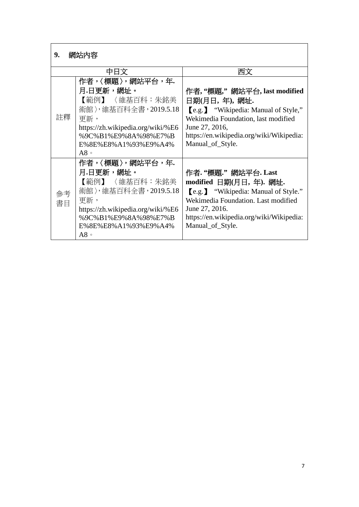| 網站內容<br>9. |                                   |                                             |  |  |
|------------|-----------------------------------|---------------------------------------------|--|--|
|            | 中日文                               | 西文                                          |  |  |
|            | 作者,〈標題〉,網站平台,年.                   |                                             |  |  |
|            | 月.日更新,網址。                         | 作者, "標題," 網站平台, last modified               |  |  |
|            | 【範例】 〈維基百科:朱銘美                    | 日期(月日,年),網址.                                |  |  |
|            | 術館〉,維基百科全書,2019.5.18              | <b>[e.g.]</b> "Wikipedia: Manual of Style," |  |  |
| 註釋         | 更新,                               | Wekimedia Foundation, last modified         |  |  |
|            | https://zh.wikipedia.org/wiki/%E6 | June 27, 2016,                              |  |  |
|            | %9C%B1%E9%8A%98%E7%B              | https://en.wikipedia.org/wiki/Wikipedia:    |  |  |
|            | E%8E%E8%A1%93%E9%A4%              | Manual_of_Style.                            |  |  |
|            | $A8 \circ$                        |                                             |  |  |
|            | 作者,〈標題〉,網站平台,年.                   |                                             |  |  |
|            | 月.日更新,網址。                         | 作者. "標題." 網站平台. Last                        |  |  |
|            | 【範例】 〈維基百科:朱銘美                    | modified 日期(月日,年). 網址.                      |  |  |
| 參考         | 術館〉,維基百科全書,2019.5.18              | [e.g.] "Wikipedia: Manual of Style."        |  |  |
| 書目         | 更新,                               | Wekimedia Foundation. Last modified         |  |  |
|            | https://zh.wikipedia.org/wiki/%E6 | June 27, 2016.                              |  |  |
|            | %9C%B1%E9%8A%98%E7%B              | https://en.wikipedia.org/wiki/Wikipedia:    |  |  |
|            | E%8E%E8%A1%93%E9%A4%              | Manual_of_Style.                            |  |  |
|            | $A8 \circ$                        |                                             |  |  |

 $\mathbf{r}$